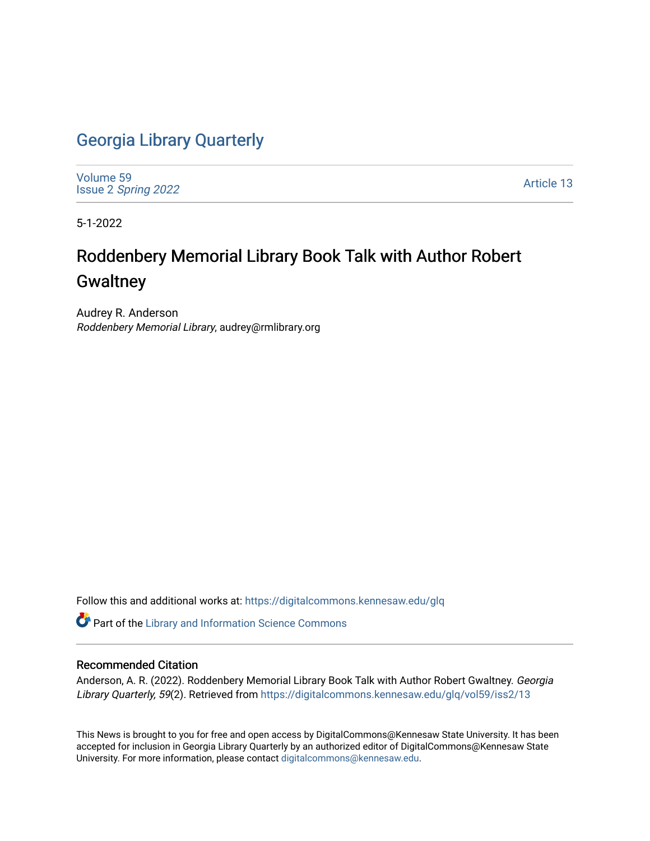## [Georgia Library Quarterly](https://digitalcommons.kennesaw.edu/glq)

[Volume 59](https://digitalcommons.kennesaw.edu/glq/vol59) Issue 2 [Spring 2022](https://digitalcommons.kennesaw.edu/glq/vol59/iss2) 

[Article 13](https://digitalcommons.kennesaw.edu/glq/vol59/iss2/13) 

5-1-2022

# Roddenbery Memorial Library Book Talk with Author Robert **Gwaltney**

Audrey R. Anderson Roddenbery Memorial Library, audrey@rmlibrary.org

Follow this and additional works at: [https://digitalcommons.kennesaw.edu/glq](https://digitalcommons.kennesaw.edu/glq?utm_source=digitalcommons.kennesaw.edu%2Fglq%2Fvol59%2Fiss2%2F13&utm_medium=PDF&utm_campaign=PDFCoverPages) 

Part of the [Library and Information Science Commons](http://network.bepress.com/hgg/discipline/1018?utm_source=digitalcommons.kennesaw.edu%2Fglq%2Fvol59%2Fiss2%2F13&utm_medium=PDF&utm_campaign=PDFCoverPages) 

#### Recommended Citation

Anderson, A. R. (2022). Roddenbery Memorial Library Book Talk with Author Robert Gwaltney. Georgia Library Quarterly, 59(2). Retrieved from https://digitalcommons.kennesaw.edu/glq/vol59/iss2/13

This News is brought to you for free and open access by DigitalCommons@Kennesaw State University. It has been accepted for inclusion in Georgia Library Quarterly by an authorized editor of DigitalCommons@Kennesaw State University. For more information, please contact [digitalcommons@kennesaw.edu.](mailto:digitalcommons@kennesaw.edu)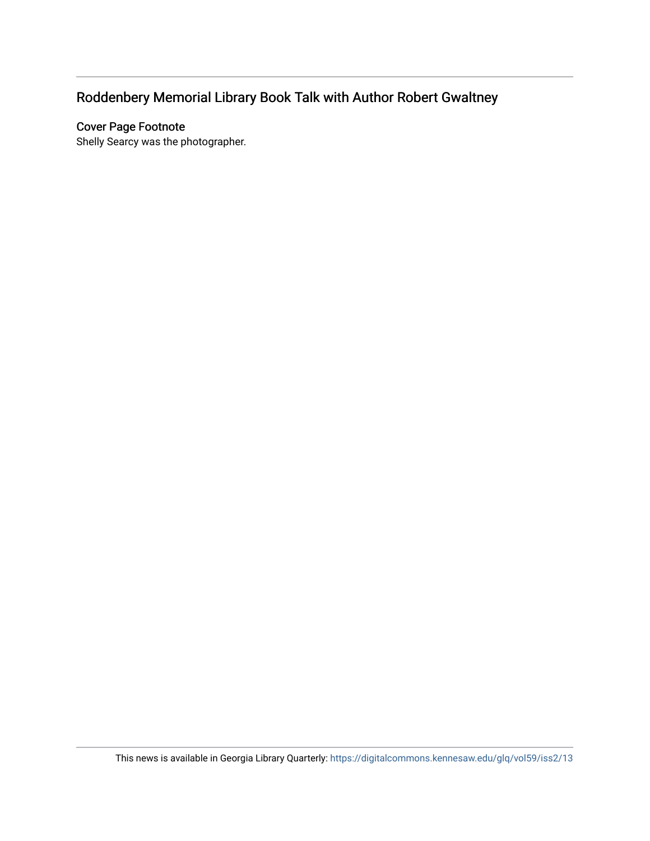## Roddenbery Memorial Library Book Talk with Author Robert Gwaltney

### Cover Page Footnote

Shelly Searcy was the photographer.